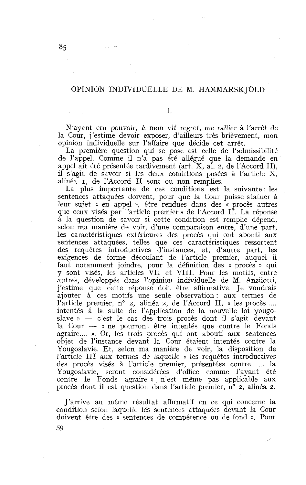## OPINION INDIVIDUELLE DE M. HAMMARSK JOLD

I.

N'ayant cru pouvoir, à mon vif regret, me rallier à l'arrêt de la Cour, j'estime devoir exposer, d'ailleurs très brièvement, mon opinion individuelle sur l'affaire que décide cet arrêt.

La première question qui se pose est celle de l'admissibilité de l'appel. Comme il n'a pas été allégué que la demande en appel ait été présentée tardivement (art. X, al. 2, de l'Accord II), il s'agit de savoir si les deux conditions posées à l'article X, alinéa 1, de l'Accord II sont ou non remplies.

La plus importante de ces conditions est la suivante: les sentences attaquées doivent, pour que la Cour puisse statuer à leur sujet « en appel », être rendues dans des « procès autres que ceux visés par l'article premier » de l'Accord II. La réponse à la question de savoir si cette condition est remplie dépend, selon ma manière de voir, d'une comparaison entre, d'une part, les caractéristiques extérieures des procès qui ont abouti aux sentences attaquées, telles que ces caractéristiques ressortent des requêtes introductives d'instances, et, d'autre part, les exigences de forme découlant de l'article premier, auquel il faut notamment joindre, pour la définition des « procès » qui y sont visés, les articles VI1 et VIII. Pour les motifs, entre autres, développés dans l'opinion individuelle de M. Anzilotti, j'estime que cette réponse doit être affirmative. Je voudrais ajouter à ces motifs une seule observation : aux termes de l'article premier, n° 2, alinéa 2, de l'Accord II, « les procès ... l'article premier, n° 2, alinéa 2, de l'Accord II, « les procès .... intentés à la suite de l'application de la nouvelle loi yougo-<br>slave » — c'est le cas des trois procès dont il s'agit devant<br>le Cour « ne nouvent être in intentés à la suite de l'application de la nouvelle loi yougo-<br>slave » — c'est le cas des trois procès dont il s'agit devant<br>la Cour — « ne pourront être intentés que contre le Fonds<br>agraire » Or les trois procès qui ont agraire.... ». Or, les trois procès qui ont abouti aux sentences objet de l'instance devant la Cour étaient intentés contre la Yougoslavie. Et, selon ma manière de voir, la disposition de l'article III aux termes de laquelle « les requêtes introductives des procès visés à l'article premier, présentées contre .... la Yougoslavie, seront considérées d'office comme l'ayant été contre le Fonds agraire » n'est même pas applicable aux procès dont il est question dans l'article premier, n° 2, alinéa 2.

J'arrive au même résultat affirmatif en ce qui concerne la condition selon laquelle les sentences attaquées devant la Cour doivent être des « sentences de compétence ou de fond ». Pour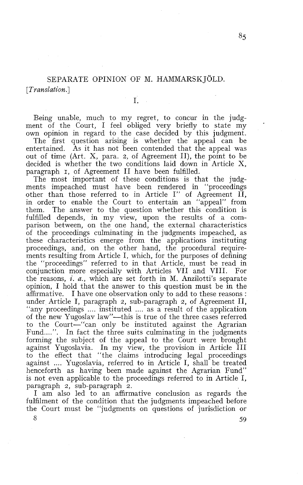# SEPARATE OPINION OF M. HAMMARSKJOLD. [*Translation*.]

1.

Being unable, much to my regret, to concur in the judgment of the Court, 1 feel obliged very briefly to state my own opinion in regard to the case decided by this judgment.

The first question arising is whether the appeal can be entertained. As it has not been contended that the appeal was out of time (Art. X, para. 2, of Agreement II), the point to be decided is whether the two conditions laid down in Article X, paragraph 1, of Agreement II have been fulfilled.

The most important of these conditions is that the judgments impeached must have been rendered in "proceedings other than those referred to in Article **1"** of Agreement II, in order to enable the Court to entertain an "appeal" from them. The answer to the question whether this condition is fulfilled depends, in my view, upon the results of a comparison between, on the one hand, the external characteristics of the proceedings culminating in the judgments impeached, as these characteristics emerge from the applications instituting proceedings, and, on the other hand, the procedural requirements resulting from Article 1, which, for the purposes of defining the "proceedings" referred to in that Article, must be read in conjunction more especially with Articles VI1 and VIII. For the reasons, *i.* a., which are set forth in M. Anzilotti's separate opinion, 1 hold that the answer to this question must be in the affirmative. 1 have one observation only to add to these reasons : under Article 1, paragraph 2, sub-paragraph 2, of Agreement II, "any proceedings .... instituted .... as a result of the application of the new Yugoslav 1aw"-this is true of the three cases referred to the Court-"can only be instituted against the Agrarian Fund....". In fact the three suits culminating in the judgments forming the subject of the appeal to the Court were brought against Yugoslavia. In my view, the provision in Article III to the effect that "the claims introducing legal proceedings against .... Yugoslavia, referred to in Article 1, shall be treated henceforth as having been made against the Agrarian Fund" is not even applicable to the proceedings referred to in Article 1, paragraph 2, sub-paragraph 2.

1 am also led to an affirmative conclusion as regards the fulfilment of the condition that the judgments impeached before the Court must be "judgrnents on questions of jurisdiction or

 $8 \hspace{2.5cm} 59$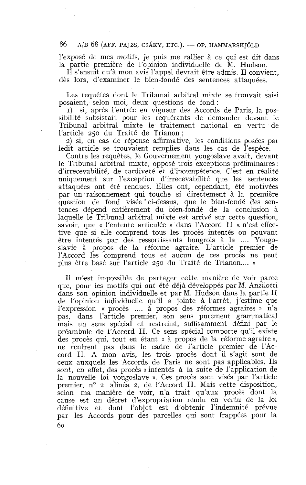#### 86  $A/B$  68 (AFF. PAJZS, CSÁKY, ETC.). — OP. HAMMARSKJÖLD

l'exposé de mes motifs, je puis me rallier à ce qui est dit dans la partie première de l'opinion individuelle de M. Hudson.

Il s'ensuit qu'à mon avis l'appel devrait être admis. Il convient, dès lors, d'examiner le bien-fondé des sentences attaquées.

Les requêtes dont le Tribunal arbitral mixte se trouvait saisi posaient, selon moi, deux questions de fond :

**1)** si, après l'entrée en vigueur des Accords de Paris, la possibilité subsistait pour les requérants de demander devant le Tribunal arbitral mixte le traitement national en vertu de l'article 250 du Traité de Trianon ;

2) si, en cas de réponse affirmative, les conditions posées par ledit article se trouvaient remplies dans les cas de l'espèce.

Contre les requêtes, le Gouvernement yougoslave avait, devant le Tribunal arbitral mixte, opposé trois exceptions préliminaires : d'irrecevabilité, de tardiveté et d'incompétence. C'est en réalité uniquement sur l'exception d'irrecevabilité que les sentences attaquées ont été rendues. Elles ont, cependant, été motivées par un raisonnement qui touche si directement à la première question de fond visée 'ci-dessus, que le bien-fondé des sentences dépend entièrement du bien-fondé de la conclusion à laquelle le Tribunal arbitral mixte est arrivé sur cette question, savoir, que « l'entente articulée » dans l'Accord II « n'est effective que si elle comprend tous les procès intentés ou pouvant être intentés par des ressortissants hongrois à la .... Yougoslavie à propos de la réforme agraire. L'article premier de l'Accord les comprend tous et aucun de ces procès ne peut plus être basé sur l'article 250 du Traité de Trianon.... »

Il m'est impossible de partager cette manière de voir parce que, pour les motifs qui ont été déjà développés par M. Anzilotti dans son opinion individuelle et par M. Hudson dans la partie II de l'opinion individuelle qu'il a jointe à l'arrêt, j'estime que l'expression « procès .... à propos des réformes agraires » n'a pas., dans l'article premier, son sens purement grammatical mais un sens spécial et restreint, suffisamment défini par le préambule de l'Accord II. Ce sens spécial comporte qu'il existe des procès qui, tout en étant « à propos de la réforme agraire », ne rentrent pas dans le cadre de l'article premier de l'Accord II. A mon avis, les trois procès dont il s'agit sont de ceux auxquels les Accords de Paris ne sont pas applicables. Ils sont, en effet, des procès « intentés à la suite de l'application de la nouvelle loi yougoslave ». Ces procès sont visés par l'article premier, n° 2, alinéa 2, de l'Accord II. Mais cette disposition, selon ma manière de voir, n'a trait qu'aux procès dont la cause est un décret d'expropriation rendu en vertu de la loi définitive et dont l'objet est d'obtenir l'indemnité prévue par les Accords pour des parcelles qui sont frappées pour la 60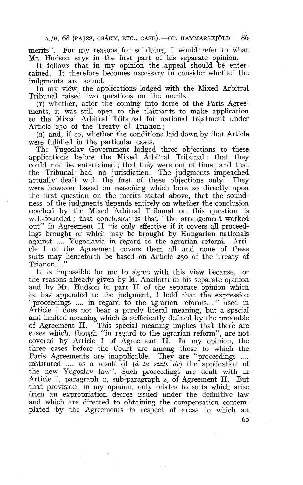A./B. 68 (PAJZS, CSÁKY, ETC., CASE). - OP. HAMMARSKJÖLD 86

merits". For my reasons for so doing, 1 would refer to what Mr. Hudson says in the first part of his separate opinion.

It follows that in my opinion the appeal should be entertained. It therefore becomes necessary to consider whether the judgments are sound.

In my view, the applications lodged with the Mixed Arbitral Tribunal raised two questions on the merits :

**(1)** whether, after the coming into force of the Paris Agreements, it was still open to the claimants to make application to the Mixed Arbitral Tribunal for national treatment under Article 250 of the Treaty of Trianon ;

(2) and, if so, whether the conditions laid down by that Article were fulfilled in the particular cases.

The Yugoslav Government lodged three objections to these applications before the Mixed Arbitral Tribunal : that they could not be entertained ; that they were out of time; and that the Tribunal had no jurisdiction. The judgments impeached actually dealt with the first of these objections only. They were however based on reasoning which bore so directly upon the first question on the merits stated above, that the soundness of the judgments depends entirely on whether the conclusion reached by the Mixed Arbitral Tribunal on this question is well-founded ; that conclusion is that "the arrangement worked out" in Agreement II "is only effective if it covers all proceedings brought or which may be brought by Hungarian nationals against .... Yugoslavia in regard to the agrarian reform. Article 1 of the Agreement covers them al1 and none of these suits may henceforth be based on Article 250 of the Treaty of Trianon....

It is impossible for me to agree with this view because, for the reasons already given by M. Anzilotti in his separate opinion and by Mr. Hudson in part II of the separate opinion which he has appended to the judgment, 1 hold that the expression "proceedings .... in regard to the agrarian reforms...." used in Article 1 does not bear a purely literal meaning, but a special and limited meaning which is sufficiently defined by the preamble of Agreement II. This special meaning implies that there are This special meaning implies that there are cases which, though "in regard to the agrarian reform", are not covered by Article 1 of Agreement II. In my opinion, the three cases before the Court are among those to which the Paris Agreements are inapplicable. They are "proceedings .... instituted .... as a result of (*à la suite de*) the application of the new Yugoslav law". Such proceedings are dealt with in Article 1, paragraph 2, sub-paragraph 2, of Agreement II. But that provision, in my opinion, only relates to suits which arise from an expropriation decree issued under the definitive law and which are directed to obtaining the compensation contemplated by the Agreements in respect of areas to which an

60.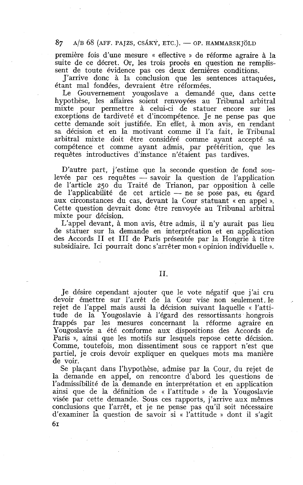#### 87  $A/B$  68 (AFF. PAJZS, CSÁKY, ETC.). — OP. HAMMARSKJÖLD

première fois d'une mesure « effective » de réforme agraire à la suite de ce décret. Or, les trois procès en question ne remplissent de toute évidence pas ces deux dernières conditions.

J'arrive donc à la conclusion que les sentences attaquées, étant mal fondées, devraient être réformées.

Le Gouvernement yougoslave a demandé que, dans cette hypothèse, les affaires soient renvoyées au Tribunal arbitral mixte pour permettre à celui-ci de statuer encore sur les exceptions de tardiveté et d'incompétence. Je ne pense pas que cette demande soit justifiée. En effet, à mon avis, en rendant sa décision et en la motivant comme il l'a fait, le Tribunal arbitral mixte doit être considéré comme ayant accepté sa compétence et comme ayant admis, par prétérition, que les requêtes introductives d'instance n'étaient pas tardives.

D'autre part, j'estime que la seconde question de fond soulevée par ces requêtes  $-$  savoir la question de l'application de l'article 250 du Traité de Trianon, par opposition à celle de l'applicabilité de cet article - ne se pose pas, eu égard aux circonstances du cas, devant la Cour statuant « en appel ». Cette question devrait donc être renvoyée au Tribunal arbitral mixte pour décision.

L'appel devant, à mon avis, être admis, il n'y aurait pas lieu de statuer sur la demande en interprétation et en application des Accords II et III de Paris présentée par la Hongrie à titre subsidiaire. Ici pourrait donc s'arrêter mon « opinion individuelle ».

### II.

Je désire cependant ajouter que le vote négatif que j'ai cru devoir émettre sur l'arrêt de la Cour vise non seulement. le rejet de l'appel mais aussi la décision suivant laquelle « l'attitude de la Yougoslavie à l'égard des ressortissants hongrois frappés par les mesures concernant la réforme agraire en Yougoslavie a été conforme aux dispositions des Accords de Paris », ainsi que les motifs sur lesquels repose cette décision. Comme, toutefois, mon dissentiment sous ce rapport n'est que partiel, je crois devoir expliquer en quelques mots ma manière de voir.

Se plaçant dans l'hypothèse, admise par la Cour, du rejet de la demande en appel, on rencontre d'abord les questions de l'admissibilité de la demande en interprétation et en application ainsi que de la définition de « l'attitude » de la Yougoslavie visée par cette demande. Sous ces rapports, j'arrive aux mêmes conclusions que l'arrêt, et je ne pense pas qu'il soit nécessaire d'examiner la question de savoir si « l'attitude » dont il s'agit **61**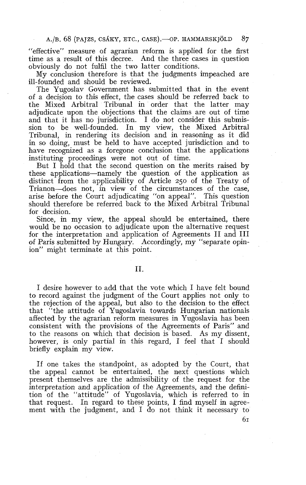A./B. 68 (PAIZS, CSÁKY, ETC., CASE). OP. HAMMARSKJÖLD 87

"effective" measure of agrarian reform is applied for the first time as a result of this decree. And the three cases in question obviously do not fulfil the two latter conditions.

My conclusion therefore is that the judgments impeached are ill-founded and should be reviewed.

The Yugoslav Government has submitted that in the event of a decision to this effect, the cases should be referred back to the Mixed Arbitral Tribunal in order that the latter may adjudicate upon the objections that the claims are out of time and that it has no jurisdiction. I do not consider this submission to be well-founded. In my view, the Mixed Arbitral Tribunal, in rendering its decision and in reasoning as it did in so doing, must be held to have accepted jurisdiction and to have recognized as a foregone conclusion that the applications instituting proceedings were not out of time.

But 1 hold that the second question on the merits raised by these applications-namely the question of the application as distinct from the applicability of Article 250 of the Treaty of Trianon-does not, in view of the circumstances of the case, arise before the Court adjudicating "on appeal". This question should therefore be referred back to the Mixed Arbitral Tribunal for decision.

Since, in my view, the appeal should be entertained, there would be no occasion to adjudicate upon the alternative request for the interpretation and application of Agreements II and III of Paris submitted by Hungary. Accordingly, my "separate opinion" might terminate at this point.

### II.

1 desire however to add that the vote which 1 have felt bound to record against the judgment of the Court applies not only to the rejection of the appeal, but also to the decision to the effect that "the attitude of Yugoslavia towards Hungarian nationals affected by the agrarian reform measures in Yugoslavia has been consistent with the provisions of the Agreements of Paris" and to the reasons on which that decision is based. As my dissent, however, is only partial in this regard. I feel that I should briefly explain my view.

If one takes the standpoint, as adopted by the Court, that the appeal cannot be entertained, the next questions which present themselves are the admissibility of the request for the interpretation and application of the Agreements, and the definition of the "attitude" of Yugoslavia, which is referred to in that request. In regard to these points, 1 find myself in agreement with the judgment, and 1 do not think it necessary to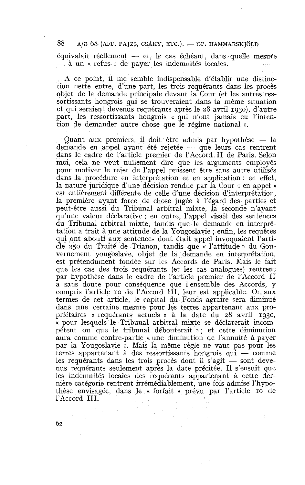88  $A/B$  68 (AFF. PAJZS, CSÁKY, ETC.). — OP. HAMMARSKJÖLD<br>équivalait réellement — et, le cas échéant, dans quelle mesure — à un « refus » de payer les indemnités locales.

A ce point, il me semble indispensable d'établir une distinction nette entre, d'une part, les trois requérants dans les procès objet de la demande principale devant la Cour (et les autres ressortissants hongrois qui se trouveraient dans la même situation et qui seraient devenus requérants après le 28 avril 1930), d'autre part, les ressortissants hongrois « qui n'ont jamais eu l'inten-

tion de demander autre chose que le régime national ».<br>Quant aux premiers, il doit être admis par hypothèse — la<br>demande en appel avant été rejetée que leurs ces rentrent Quant aux premiers, il doit être admis par hypothèse — la demande en appel ayant été rejetée — que leurs cas rentrent dans le cadre de l'article premier de l'Accord II de Paris. Selon moi, cela ne veut nullement dire que les arguments employés pour motiver le rejet de l'appel puissent être sans autre utilisés dans la procédure en interprétation et en application : en effet, la nature juridique d'une décision rendue par la Cour « en appel » est entièrement différente de celle d'une décision d'interprétation, la première ayant force de chose jugée à l'égard des parties et peut-être aussi du Tribunal arbitral mixte, la seconde n'ayant qu'une valeur déclarative ; en outre, l'appel visait des sentences du Tribunal arbitral mixte, tandis que la demande en interprétation a trait à une attitude de la Yougoslavie ; enfin, les requêtes qui ont abouti aux sentences dont était appel invoquaient l'article 250 du Traité de Trianon, tandis que « l'attitude » du Gouvernement yougoslave, objet de la demande en interprétation, est prétendument fondée sur les Accords de Paris. Mais le fait que les cas des trois requérants (et les cas analogues) rentrent par hypothèse dans le cadre de l'article premier de l'Accord II a sans doute pour conséquence que l'ensemble des Accords, y compris l'article IO de l'Accord III, leur est applicable. Or, aux termes de cet article, le capital du Fonds agraire sera diminué dans une certaine mesure pour les terres appartenant aux propriétaires « requérants actuels » à la date du 28 avril 1930, pour lesquels le Tribunal arbitral mixte se déclarerait incompétent ou que le tribunal débouterait »; et cette diminution aura comme contre-partie « une diminution de l'annuité à payer<br>par la Yougoslavie ». Mais la même règle ne vaut pas pour les<br>terres appartenant à des ressortissants hongrois qui — comme<br>les requérents dans les trois procès par la Yougoslavie 1). Mais la même règle ne vaut pas pour les terres appartenant à des ressortissants hongrois qui  $-$  comme les requérants dans les trois procès dont il s'agit  $-$  sont devenus requérants seulement après la date précitée. Il s'ensuit que les indemnités locales des requérants appartenant à cette dernière catégorie rentrent irrémédiablement, une fois admise l'hypothèse envisagée, dans le « forfait » prévu par l'article 10 de l'Accord III.

 $\frac{1}{2} \frac{1}{2} \left( \frac{1}{2} \right)$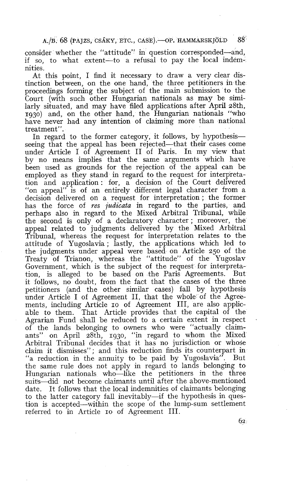consider whether the "attitude" in question corresponded-and, if so, to what extent-to a refusa1 to pay the local indemnities.

At this point, 1 find it necessary to draw a very clear distinction between, on the one hand, the three petitioners in the proceedings forming the subject of the main submission to the Court (with such other Hungarian nationals as may be similarly situated, and may have filed applications after April 28th, 1930) and, on the other hand, the Hungarian nationals "who have never had any intention of claiming more than national treatment".

In regard to the former category, it follows, by hypothesis seeing that the appeal has been rejected—that their cases come under Article 1 of Agreement II of Paris. In my view that by no means implies that the same arguments which have been used as grounds for the rejection of the appeal can be employed as they stand in regard to the request for interpretation and application : for, a decision of the Court delivered "on appeal" is of an entirely different legal character from a decision delivered on a request for interpretation ; the former has the force of *res judicata* in regard to the parties, and perhaps also in regard to the Mixed Arbitral Tribunal, while the second is only of a declaratory character ; moreover, the appeal related to judgments delivered by the Mixed Arbitral Tribunal, whereas the request for interpretation relates to the attitude of Yugoslavia ; lastly, the applications which led to the judgrnents under appeal were based on Article 250 of the Treaty of Trianon, whereas the "attitude" of the Yugoslav Government, which is the subject of the request for interpretation, is alleged to be based on the Paris Agreements. But it follows, no doubt, from the fact that the cases of the three petitioners (and the other similar cases) fall by hypothesis under Article I of Agreement II, that the whole of the Agreements, including Article 10 of Agreement III, are also applicable to them. That Article provides that the capital of the Agrarian Fund shall be reduced to a certain extent in respect of the lands belonging to owners who were "actually claimants" on April 28th, 1930, "in regard to whom the Mixed Arbitral Tribunal decides that it has no jurisdiction or whose claim it dismisses" ; and this reduction finds its counterpart in "a reduction in the annuity to be paid by Yugoslavia". But the same rule does not apply in regard to lands belonging to Hungarian nationals who-like the petitioners in the three suits-did not become claimants until after the above-mentioned date. It follows that the local indemnities of claimants belonging to the latter category fall inevitably—if the hypothesis in question is accepted-within the scope of the lump-sum settlement referred to in Article IO of Agreement III.

 $88^{\circ}$ 

<sup>6</sup>a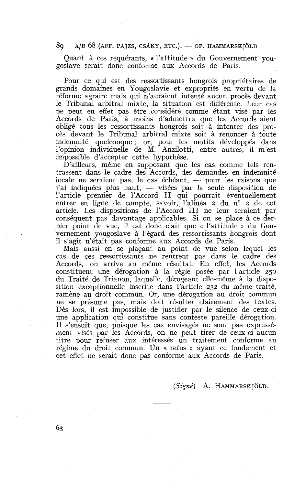89 A/B 68 (AFF. PAJZS, CSÁKY, ETC.). - OP. HAMMARSKJÖLD

Quant à ces requérants, « l'attitude » du Gouvernement yougoslave serait donc conforme aux Accords de Paris.

Pour ce qui est des ressortissants hongrois propriétaires de grands domaines en Yougoslavie et expropriés en vertu de la réforme agraire mais qui n'auraient intenté aucun procès devant le Tribunal arbitral mixte, la situation est différente. Leur cas ne peut en effet pas être considéré comme étant visé par les Accords de Paris, à moins d'admettre que les Accords aient obligé tous les ressortissants hongrois soit à intenter des procès devant le Tribunal arbitral mixte soit à renoncer à toute indemnité quelconque ; or, pour les motifs développés dans l'opinion individuelle de M. Anzilotti, entre autres, il m'est impossible d'accepter cette hypothèse.

D'ailleurs, même en supposant que les cas comme tels ren-<br>trassent dans le cadre des Accords, des demandes en indemnité<br>locale ne seraient pas, le cas échéant, — pour les raisons que<br>j'ai indiquées plus haut trassent dans le cadre des Accords. des demandes en indemnité j'ai indiquées plus haut,  $-$  visées par la seule disposition de l'article premier de l'Accord II qui pourrait éventuellement entrer en ligne de compte, savoir, l'alinéa 2 du n° 2 de cet article. Les dispositions de l'Accord III ne leur seraient par conséquent pas davantage applicables. Si on se place à ce dernier point de vue, il est donc clair que « l'attitude » du Gouvernement yougoslave à l'égard des ressortissants hongrois dont il s'agit n'était pas conforme aux Accords de Paris.

Mais aussi en se plaçant au point de vue selon lequel les cas de ces ressortissants ne rentrent pas dans le cadre des Accords, on arrive au même résultat. En effet, les Accords constituent une dérogation à la règle posée par l'article 250 du Traité de Trianon, laquelle, dérogeant elle-même à la disposition exceptionnelle inscrite dans l'article 232 du même traité, ramène au droit commun. Or, une dérogation au droit commun ne se présume pas, mais doit résulter clairement des textes. Dès lors, il est impossible de justifier par le silence de ceux-ci une application qui constitue sans conteste pareille dérogation. Il s'ensuit que, puisque les cas envisagés ne sont pas expressément visés par les Accords, on ne peut tirer de ceux-ci aucun titre pour refuser aux intéressés un traitement conforme au régime du droit commun. Un « refus » ayant ce fondement et cet effet ne serait donc pas conforme aux Accords de Paris.

**(Signé)** A. HAMMARSK JOLD.